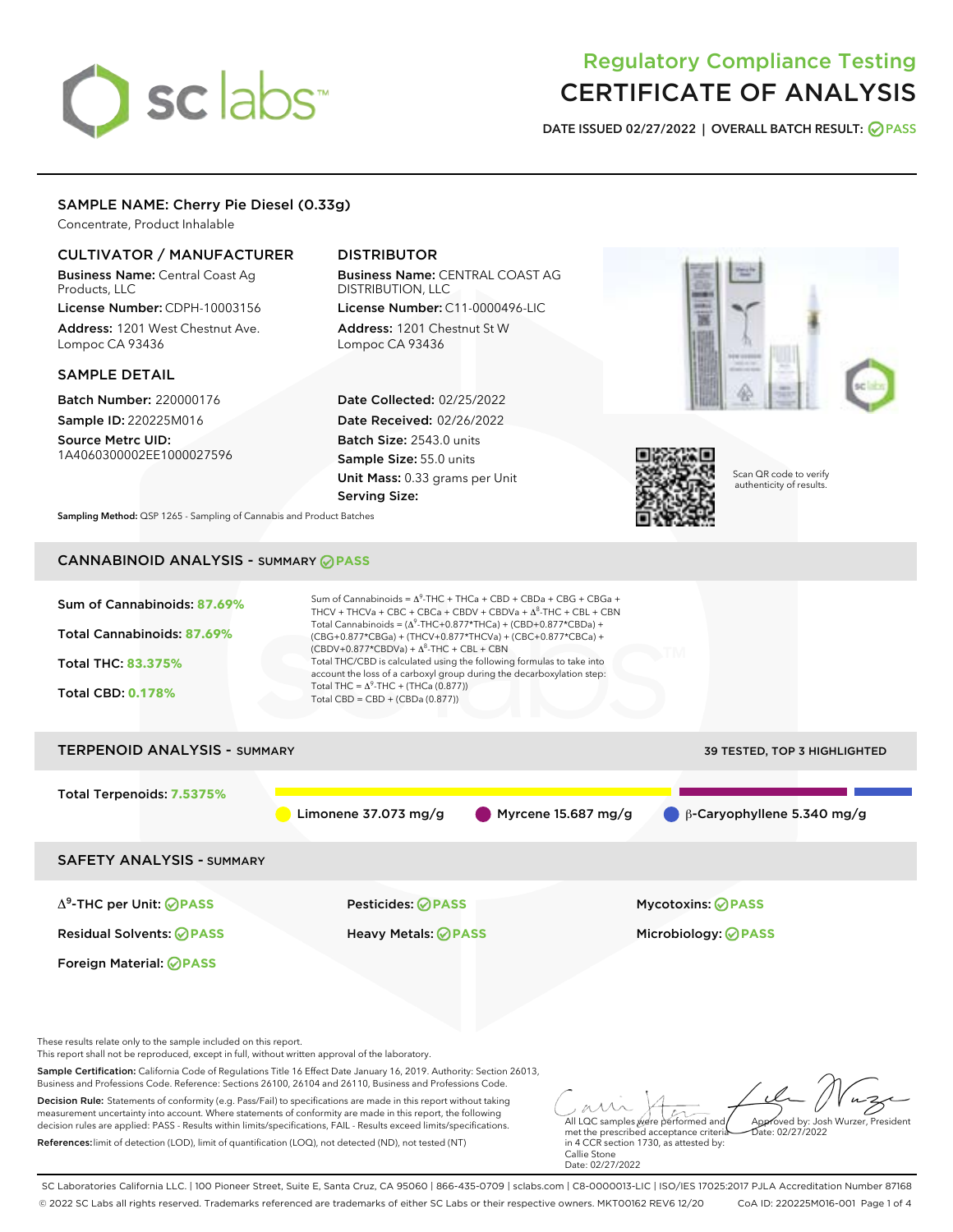# sclabs

# Regulatory Compliance Testing CERTIFICATE OF ANALYSIS

DATE ISSUED 02/27/2022 | OVERALL BATCH RESULT: @ PASS

# SAMPLE NAME: Cherry Pie Diesel (0.33g)

Concentrate, Product Inhalable

# CULTIVATOR / MANUFACTURER

Business Name: Central Coast Ag Products, LLC License Number: CDPH-10003156

Address: 1201 West Chestnut Ave. Lompoc CA 93436

# SAMPLE DETAIL

Batch Number: 220000176 Sample ID: 220225M016

Source Metrc UID: 1A4060300002EE1000027596

# DISTRIBUTOR

Business Name: CENTRAL COAST AG DISTRIBUTION, LLC License Number: C11-0000496-LIC

Address: 1201 Chestnut St W Lompoc CA 93436

Date Collected: 02/25/2022 Date Received: 02/26/2022 Batch Size: 2543.0 units Sample Size: 55.0 units Unit Mass: 0.33 grams per Unit Serving Size:





Scan QR code to verify authenticity of results.

Sampling Method: QSP 1265 - Sampling of Cannabis and Product Batches

# CANNABINOID ANALYSIS - SUMMARY **PASS**



Business and Professions Code. Reference: Sections 26100, 26104 and 26110, Business and Professions Code. Decision Rule: Statements of conformity (e.g. Pass/Fail) to specifications are made in this report without taking measurement uncertainty into account. Where statements of conformity are made in this report, the following decision rules are applied: PASS - Results within limits/specifications, FAIL - Results exceed limits/specifications.

References:limit of detection (LOD), limit of quantification (LOQ), not detected (ND), not tested (NT)

All LQC samples were performed and met the prescribed acceptance criteria Approved by: Josh Wurzer, President  $\frac{1}{2}$  02/27/2022

in 4 CCR section 1730, as attested by: Callie Stone Date: 02/27/2022

SC Laboratories California LLC. | 100 Pioneer Street, Suite E, Santa Cruz, CA 95060 | 866-435-0709 | sclabs.com | C8-0000013-LIC | ISO/IES 17025:2017 PJLA Accreditation Number 87168 © 2022 SC Labs all rights reserved. Trademarks referenced are trademarks of either SC Labs or their respective owners. MKT00162 REV6 12/20 CoA ID: 220225M016-001 Page 1 of 4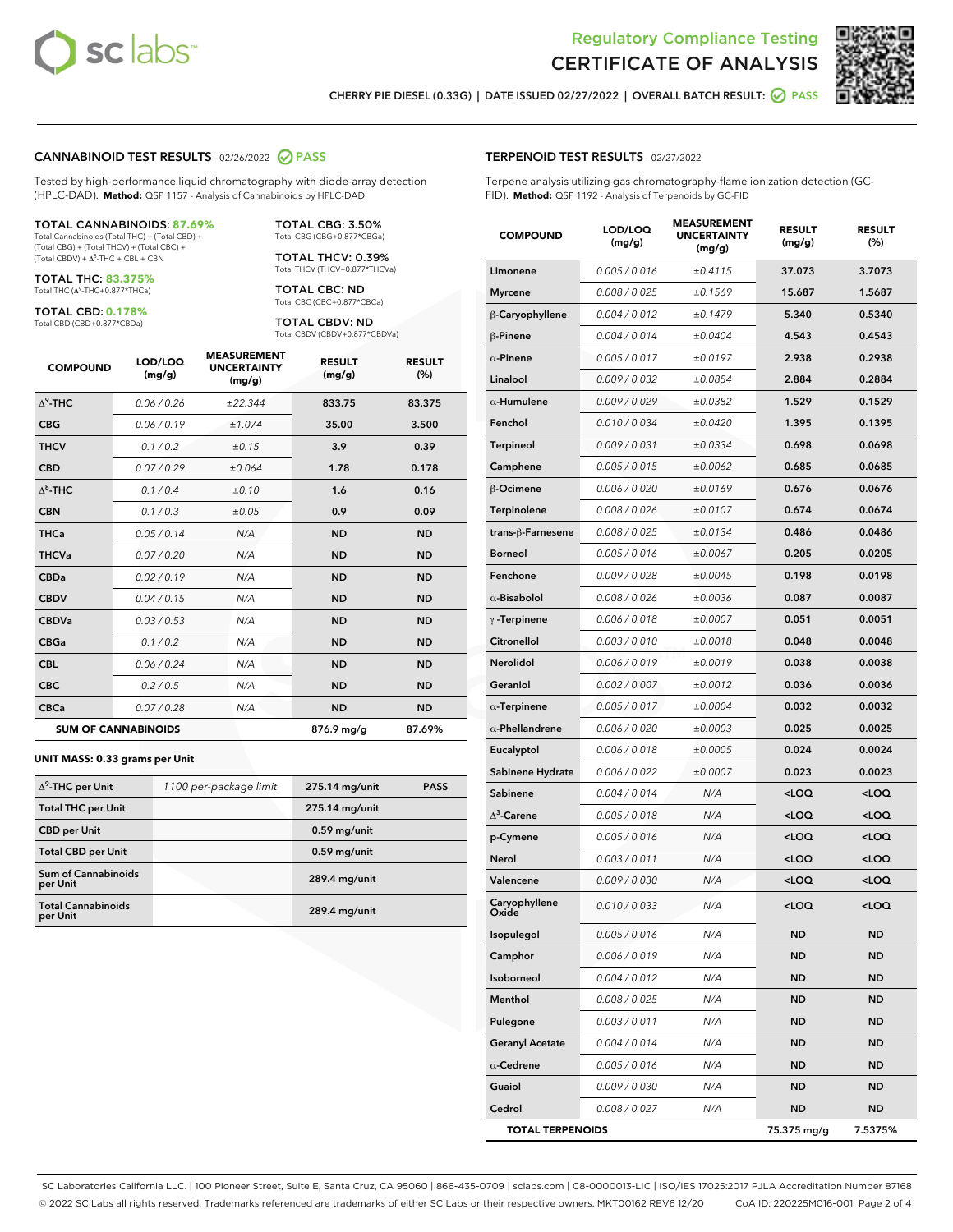



CHERRY PIE DIESEL (0.33G) | DATE ISSUED 02/27/2022 | OVERALL BATCH RESULT: **● PASS** 

#### CANNABINOID TEST RESULTS - 02/26/2022 2 PASS

Tested by high-performance liquid chromatography with diode-array detection (HPLC-DAD). **Method:** QSP 1157 - Analysis of Cannabinoids by HPLC-DAD

#### TOTAL CANNABINOIDS: **87.69%**

Total Cannabinoids (Total THC) + (Total CBD) + (Total CBG) + (Total THCV) + (Total CBC) +  $(Total CBDV) +  $\Delta^8$ -THC + CBL + CBN$ 

TOTAL THC: **83.375%** Total THC (Δ<sup>9</sup> -THC+0.877\*THCa)

TOTAL CBD: **0.178%** Total CBD (CBD+0.877\*CBDa)

TOTAL CBG: 3.50% Total CBG (CBG+0.877\*CBGa)

TOTAL THCV: 0.39% Total THCV (THCV+0.877\*THCVa)

TOTAL CBC: ND Total CBC (CBC+0.877\*CBCa)

TOTAL CBDV: ND Total CBDV (CBDV+0.877\*CBDVa)

| <b>COMPOUND</b>  | LOD/LOQ<br>(mg/g)          | <b>MEASUREMENT</b><br><b>UNCERTAINTY</b><br>(mg/g) | <b>RESULT</b><br>(mg/g) | <b>RESULT</b><br>(%) |
|------------------|----------------------------|----------------------------------------------------|-------------------------|----------------------|
| $\Lambda^9$ -THC | 0.06/0.26                  | ±22.344                                            | 833.75                  | 83.375               |
| <b>CBG</b>       | 0.06/0.19                  | ±1.074                                             | 35.00                   | 3.500                |
| <b>THCV</b>      | 0.1 / 0.2                  | ±0.15                                              | 3.9                     | 0.39                 |
| <b>CBD</b>       | 0.07/0.29                  | ±0.064                                             | 1.78                    | 0.178                |
| $\Delta^8$ -THC  | 0.1 / 0.4                  | ±0.10                                              | 1.6                     | 0.16                 |
| <b>CBN</b>       | 0.1/0.3                    | ±0.05                                              | 0.9                     | 0.09                 |
| <b>THCa</b>      | 0.05/0.14                  | N/A                                                | <b>ND</b>               | <b>ND</b>            |
| <b>THCVa</b>     | 0.07 / 0.20                | N/A                                                | <b>ND</b>               | <b>ND</b>            |
| <b>CBDa</b>      | 0.02 / 0.19                | N/A                                                | <b>ND</b>               | <b>ND</b>            |
| <b>CBDV</b>      | 0.04 / 0.15                | N/A                                                | <b>ND</b>               | <b>ND</b>            |
| <b>CBDVa</b>     | 0.03/0.53                  | N/A                                                | <b>ND</b>               | <b>ND</b>            |
| <b>CBGa</b>      | 0.1/0.2                    | N/A                                                | <b>ND</b>               | <b>ND</b>            |
| <b>CBL</b>       | 0.06 / 0.24                | N/A                                                | <b>ND</b>               | <b>ND</b>            |
| <b>CBC</b>       | 0.2 / 0.5                  | N/A                                                | <b>ND</b>               | <b>ND</b>            |
| <b>CBCa</b>      | 0.07/0.28                  | N/A                                                | <b>ND</b>               | <b>ND</b>            |
|                  | <b>SUM OF CANNABINOIDS</b> |                                                    | 876.9 mg/g              | 87.69%               |

#### **UNIT MASS: 0.33 grams per Unit**

| $\Delta^9$ -THC per Unit               | 1100 per-package limit | 275.14 mg/unit | <b>PASS</b> |
|----------------------------------------|------------------------|----------------|-------------|
| <b>Total THC per Unit</b>              |                        | 275.14 mg/unit |             |
| <b>CBD</b> per Unit                    |                        | $0.59$ mg/unit |             |
| <b>Total CBD per Unit</b>              |                        | $0.59$ mg/unit |             |
| <b>Sum of Cannabinoids</b><br>per Unit |                        | 289.4 mg/unit  |             |
| <b>Total Cannabinoids</b><br>per Unit  |                        | 289.4 mg/unit  |             |

#### TERPENOID TEST RESULTS - 02/27/2022

Terpene analysis utilizing gas chromatography-flame ionization detection (GC-FID). **Method:** QSP 1192 - Analysis of Terpenoids by GC-FID

| <b>COMPOUND</b>         | LOD/LOQ<br>(mg/g) | <b>MEASUREMENT</b><br><b>UNCERTAINTY</b><br>(mg/g) | <b>RESULT</b><br>(mg/g)                         | <b>RESULT</b><br>(%) |
|-------------------------|-------------------|----------------------------------------------------|-------------------------------------------------|----------------------|
| Limonene                | 0.005 / 0.016     | ±0.4115                                            | 37.073                                          | 3.7073               |
| <b>Myrcene</b>          | 0.008 / 0.025     | ±0.1569                                            | 15.687                                          | 1.5687               |
| B-Caryophyllene         | 0.004 / 0.012     | ±0.1479                                            | 5.340                                           | 0.5340               |
| $\beta$ -Pinene         | 0.004 / 0.014     | ±0.0404                                            | 4.543                                           | 0.4543               |
| $\alpha$ -Pinene        | 0.005 / 0.017     | ±0.0197                                            | 2.938                                           | 0.2938               |
| Linalool                | 0.009 / 0.032     | ±0.0854                                            | 2.884                                           | 0.2884               |
| $\alpha$ -Humulene      | 0.009/0.029       | ±0.0382                                            | 1.529                                           | 0.1529               |
| Fenchol                 | 0.010 / 0.034     | ±0.0420                                            | 1.395                                           | 0.1395               |
| <b>Terpineol</b>        | 0.009 / 0.031     | ±0.0334                                            | 0.698                                           | 0.0698               |
| Camphene                | 0.005 / 0.015     | ±0.0062                                            | 0.685                                           | 0.0685               |
| $\beta$ -Ocimene        | 0.006 / 0.020     | ±0.0169                                            | 0.676                                           | 0.0676               |
| Terpinolene             | 0.008 / 0.026     | ±0.0107                                            | 0.674                                           | 0.0674               |
| trans-ß-Farnesene       | 0.008 / 0.025     | ±0.0134                                            | 0.486                                           | 0.0486               |
| <b>Borneol</b>          | 0.005 / 0.016     | ±0.0067                                            | 0.205                                           | 0.0205               |
| Fenchone                | 0.009 / 0.028     | ±0.0045                                            | 0.198                                           | 0.0198               |
| $\alpha$ -Bisabolol     | 0.008 / 0.026     | ±0.0036                                            | 0.087                                           | 0.0087               |
| $\gamma$ -Terpinene     | 0.006 / 0.018     | ±0.0007                                            | 0.051                                           | 0.0051               |
| Citronellol             | 0.003 / 0.010     | ±0.0018                                            | 0.048                                           | 0.0048               |
| Nerolidol               | 0.006 / 0.019     | ±0.0019                                            | 0.038                                           | 0.0038               |
| Geraniol                | 0.002 / 0.007     | ±0.0012                                            | 0.036                                           | 0.0036               |
| $\alpha$ -Terpinene     | 0.005 / 0.017     | ±0.0004                                            | 0.032                                           | 0.0032               |
| $\alpha$ -Phellandrene  | 0.006 / 0.020     | ±0.0003                                            | 0.025                                           | 0.0025               |
| Eucalyptol              | 0.006 / 0.018     | ±0.0005                                            | 0.024                                           | 0.0024               |
| Sabinene Hydrate        | 0.006 / 0.022     | ±0.0007                                            | 0.023                                           | 0.0023               |
| Sabinene                | 0.004 / 0.014     | N/A                                                | <loq< th=""><th><loq< th=""></loq<></th></loq<> | <loq< th=""></loq<>  |
| $\Delta^3$ -Carene      | 0.005 / 0.018     | N/A                                                | <loq< th=""><th><loq< th=""></loq<></th></loq<> | <loq< th=""></loq<>  |
| p-Cymene                | 0.005 / 0.016     | N/A                                                | <loq< th=""><th><loq< th=""></loq<></th></loq<> | <loq< th=""></loq<>  |
| Nerol                   | 0.003 / 0.011     | N/A                                                | <loq< th=""><th><loq< th=""></loq<></th></loq<> | <loq< th=""></loq<>  |
| Valencene               | 0.009 / 0.030     | N/A                                                | <loq< th=""><th><loq< th=""></loq<></th></loq<> | <loq< th=""></loq<>  |
| Caryophyllene<br>Oxiae  | 0.010 / 0.033     | N/A                                                | <loq< th=""><th><loq< th=""></loq<></th></loq<> | <loq< th=""></loq<>  |
| Isopulegol              | 0.005 / 0.016     | N/A                                                | ND                                              | ND                   |
| Camphor                 | 0.006 / 0.019     | N/A                                                | ND.                                             | ND                   |
| Isoborneol              | 0.004 / 0.012     | N/A                                                | <b>ND</b>                                       | ND                   |
| Menthol                 | 0.008 / 0.025     | N/A                                                | ND                                              | ND                   |
| Pulegone                | 0.003 / 0.011     | N/A                                                | ND                                              | ND                   |
| <b>Geranyl Acetate</b>  | 0.004 / 0.014     | N/A                                                | <b>ND</b>                                       | ND                   |
| $\alpha$ -Cedrene       | 0.005 / 0.016     | N/A                                                | ND                                              | ND                   |
| Guaiol                  | 0.009 / 0.030     | N/A                                                | ND                                              | ND                   |
| Cedrol                  | 0.008 / 0.027     | N/A                                                | <b>ND</b>                                       | ND                   |
| <b>TOTAL TERPENOIDS</b> |                   |                                                    | 75.375 mg/g                                     | 7.5375%              |

SC Laboratories California LLC. | 100 Pioneer Street, Suite E, Santa Cruz, CA 95060 | 866-435-0709 | sclabs.com | C8-0000013-LIC | ISO/IES 17025:2017 PJLA Accreditation Number 87168 © 2022 SC Labs all rights reserved. Trademarks referenced are trademarks of either SC Labs or their respective owners. MKT00162 REV6 12/20 CoA ID: 220225M016-001 Page 2 of 4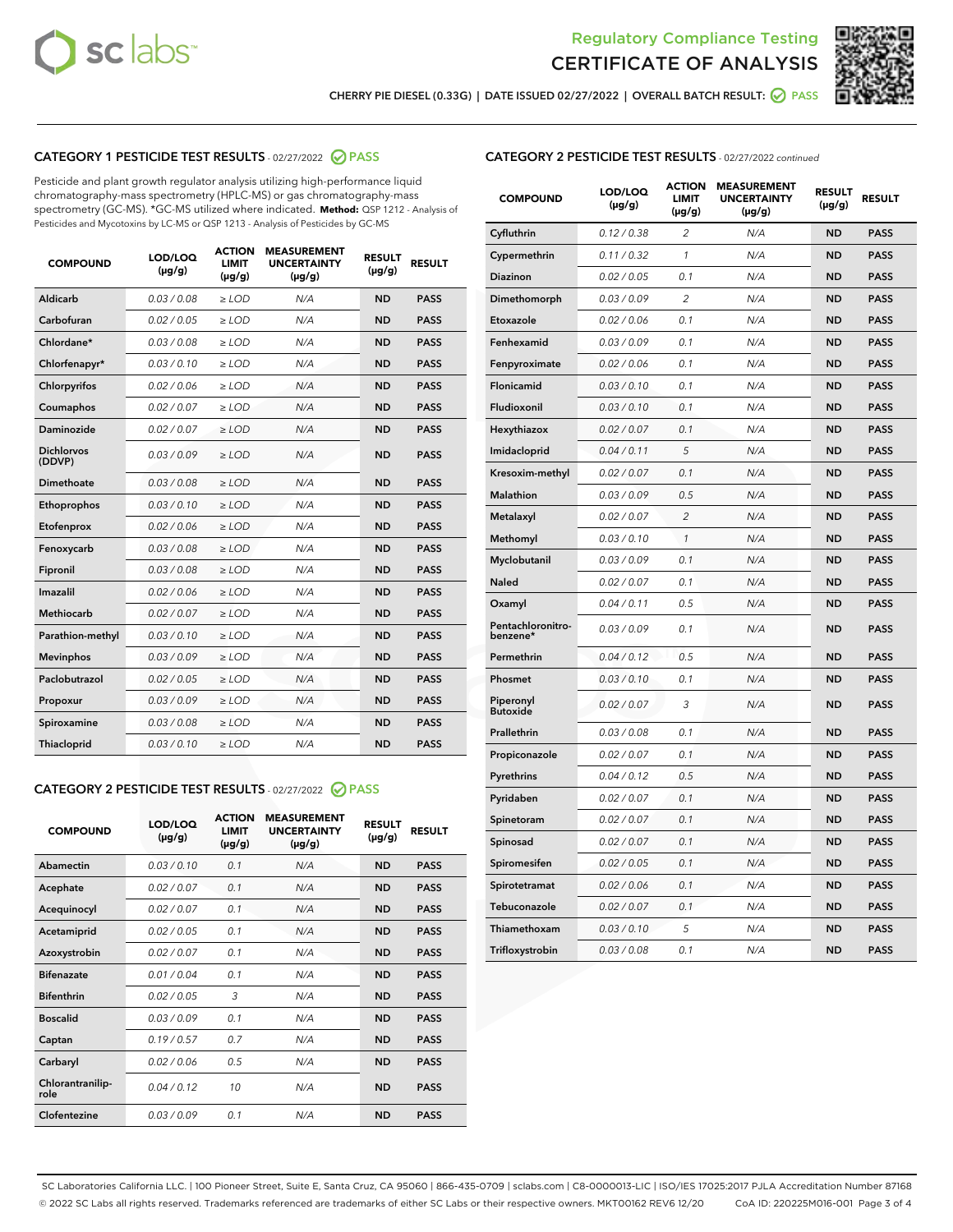



CHERRY PIE DIESEL (0.33G) | DATE ISSUED 02/27/2022 | OVERALL BATCH RESULT: **⊘** PASS

# CATEGORY 1 PESTICIDE TEST RESULTS - 02/27/2022 2 PASS

Pesticide and plant growth regulator analysis utilizing high-performance liquid chromatography-mass spectrometry (HPLC-MS) or gas chromatography-mass spectrometry (GC-MS). \*GC-MS utilized where indicated. **Method:** QSP 1212 - Analysis of Pesticides and Mycotoxins by LC-MS or QSP 1213 - Analysis of Pesticides by GC-MS

| <b>COMPOUND</b>             | LOD/LOQ<br>$(\mu g/g)$ | <b>ACTION</b><br>LIMIT<br>$(\mu g/g)$ | <b>MEASUREMENT</b><br><b>UNCERTAINTY</b><br>$(\mu g/g)$ | <b>RESULT</b><br>$(\mu g/g)$ | <b>RESULT</b> |
|-----------------------------|------------------------|---------------------------------------|---------------------------------------------------------|------------------------------|---------------|
| Aldicarb                    | 0.03 / 0.08            | $\ge$ LOD                             | N/A                                                     | <b>ND</b>                    | <b>PASS</b>   |
| Carbofuran                  | 0.02 / 0.05            | $\ge$ LOD                             | N/A                                                     | <b>ND</b>                    | <b>PASS</b>   |
| Chlordane*                  | 0.03 / 0.08            | $\ge$ LOD                             | N/A                                                     | <b>ND</b>                    | <b>PASS</b>   |
| Chlorfenapyr*               | 0.03/0.10              | $\ge$ LOD                             | N/A                                                     | <b>ND</b>                    | <b>PASS</b>   |
| Chlorpyrifos                | 0.02/0.06              | $\ge$ LOD                             | N/A                                                     | <b>ND</b>                    | <b>PASS</b>   |
| Coumaphos                   | 0.02 / 0.07            | $>$ LOD                               | N/A                                                     | <b>ND</b>                    | <b>PASS</b>   |
| Daminozide                  | 0.02 / 0.07            | $>$ LOD                               | N/A                                                     | <b>ND</b>                    | <b>PASS</b>   |
| <b>Dichlorvos</b><br>(DDVP) | 0.03/0.09              | $\ge$ LOD                             | N/A                                                     | <b>ND</b>                    | <b>PASS</b>   |
| Dimethoate                  | 0.03/0.08              | $>$ LOD                               | N/A                                                     | <b>ND</b>                    | <b>PASS</b>   |
| Ethoprophos                 | 0.03/0.10              | $\ge$ LOD                             | N/A                                                     | <b>ND</b>                    | <b>PASS</b>   |
| Etofenprox                  | 0.02 / 0.06            | $>$ LOD                               | N/A                                                     | <b>ND</b>                    | <b>PASS</b>   |
| Fenoxycarb                  | 0.03/0.08              | $>$ LOD                               | N/A                                                     | <b>ND</b>                    | <b>PASS</b>   |
| Fipronil                    | 0.03/0.08              | $\ge$ LOD                             | N/A                                                     | <b>ND</b>                    | <b>PASS</b>   |
| Imazalil                    | 0.02 / 0.06            | $>$ LOD                               | N/A                                                     | <b>ND</b>                    | <b>PASS</b>   |
| <b>Methiocarb</b>           | 0.02 / 0.07            | $\ge$ LOD                             | N/A                                                     | <b>ND</b>                    | <b>PASS</b>   |
| Parathion-methyl            | 0.03/0.10              | $>$ LOD                               | N/A                                                     | <b>ND</b>                    | <b>PASS</b>   |
| <b>Mevinphos</b>            | 0.03/0.09              | $\ge$ LOD                             | N/A                                                     | <b>ND</b>                    | <b>PASS</b>   |
| Paclobutrazol               | 0.02 / 0.05            | $\ge$ LOD                             | N/A                                                     | <b>ND</b>                    | <b>PASS</b>   |
| Propoxur                    | 0.03/0.09              | $\ge$ LOD                             | N/A                                                     | <b>ND</b>                    | <b>PASS</b>   |
| Spiroxamine                 | 0.03 / 0.08            | $\ge$ LOD                             | N/A                                                     | <b>ND</b>                    | <b>PASS</b>   |
| Thiacloprid                 | 0.03/0.10              | $>$ LOD                               | N/A                                                     | <b>ND</b>                    | <b>PASS</b>   |
|                             |                        |                                       |                                                         |                              |               |

# CATEGORY 2 PESTICIDE TEST RESULTS - 02/27/2022 @ PASS

| <b>COMPOUND</b>          | LOD/LOQ<br>$(\mu g/g)$ | <b>ACTION</b><br><b>LIMIT</b><br>$(\mu g/g)$ | <b>MEASUREMENT</b><br><b>UNCERTAINTY</b><br>$(\mu g/g)$ | <b>RESULT</b><br>$(\mu g/g)$ | <b>RESULT</b> |
|--------------------------|------------------------|----------------------------------------------|---------------------------------------------------------|------------------------------|---------------|
| Abamectin                | 0.03/0.10              | 0.1                                          | N/A                                                     | <b>ND</b>                    | <b>PASS</b>   |
| Acephate                 | 0.02/0.07              | 0.1                                          | N/A                                                     | <b>ND</b>                    | <b>PASS</b>   |
| Acequinocyl              | 0.02/0.07              | 0.1                                          | N/A                                                     | <b>ND</b>                    | <b>PASS</b>   |
| Acetamiprid              | 0.02/0.05              | 0.1                                          | N/A                                                     | <b>ND</b>                    | <b>PASS</b>   |
| Azoxystrobin             | 0.02 / 0.07            | 0.1                                          | N/A                                                     | <b>ND</b>                    | <b>PASS</b>   |
| <b>Bifenazate</b>        | 0.01/0.04              | 0.1                                          | N/A                                                     | <b>ND</b>                    | <b>PASS</b>   |
| <b>Bifenthrin</b>        | 0.02 / 0.05            | 3                                            | N/A                                                     | <b>ND</b>                    | <b>PASS</b>   |
| <b>Boscalid</b>          | 0.03/0.09              | 0.1                                          | N/A                                                     | <b>ND</b>                    | <b>PASS</b>   |
| Captan                   | 0.19/0.57              | 0.7                                          | N/A                                                     | <b>ND</b>                    | <b>PASS</b>   |
| Carbaryl                 | 0.02/0.06              | 0.5                                          | N/A                                                     | <b>ND</b>                    | <b>PASS</b>   |
| Chlorantranilip-<br>role | 0.04/0.12              | 10                                           | N/A                                                     | <b>ND</b>                    | <b>PASS</b>   |
| Clofentezine             | 0.03/0.09              | 0.1                                          | N/A                                                     | <b>ND</b>                    | <b>PASS</b>   |

# CATEGORY 2 PESTICIDE TEST RESULTS - 02/27/2022 continued

| <b>COMPOUND</b>               | LOD/LOQ<br>(µg/g) | <b>ACTION</b><br>LIMIT<br>(µg/g) | <b>MEASUREMENT</b><br><b>UNCERTAINTY</b><br>$(\mu g/g)$ | <b>RESULT</b><br>$(\mu g/g)$ | <b>RESULT</b> |
|-------------------------------|-------------------|----------------------------------|---------------------------------------------------------|------------------------------|---------------|
| Cyfluthrin                    | 0.12 / 0.38       | 2                                | N/A                                                     | <b>ND</b>                    | <b>PASS</b>   |
| Cypermethrin                  | 0.11 / 0.32       | 1                                | N/A                                                     | <b>ND</b>                    | <b>PASS</b>   |
| <b>Diazinon</b>               | 0.02 / 0.05       | 0.1                              | N/A                                                     | <b>ND</b>                    | <b>PASS</b>   |
| Dimethomorph                  | 0.03 / 0.09       | 2                                | N/A                                                     | <b>ND</b>                    | <b>PASS</b>   |
| Etoxazole                     | 0.02 / 0.06       | 0.1                              | N/A                                                     | <b>ND</b>                    | <b>PASS</b>   |
| Fenhexamid                    | 0.03 / 0.09       | 0.1                              | N/A                                                     | <b>ND</b>                    | <b>PASS</b>   |
| Fenpyroximate                 | 0.02 / 0.06       | 0.1                              | N/A                                                     | <b>ND</b>                    | <b>PASS</b>   |
| Flonicamid                    | 0.03 / 0.10       | 0.1                              | N/A                                                     | <b>ND</b>                    | <b>PASS</b>   |
| Fludioxonil                   | 0.03 / 0.10       | 0.1                              | N/A                                                     | <b>ND</b>                    | <b>PASS</b>   |
| Hexythiazox                   | 0.02 / 0.07       | 0.1                              | N/A                                                     | <b>ND</b>                    | <b>PASS</b>   |
| Imidacloprid                  | 0.04 / 0.11       | 5                                | N/A                                                     | <b>ND</b>                    | <b>PASS</b>   |
| Kresoxim-methyl               | 0.02 / 0.07       | 0.1                              | N/A                                                     | <b>ND</b>                    | <b>PASS</b>   |
| Malathion                     | 0.03 / 0.09       | 0.5                              | N/A                                                     | <b>ND</b>                    | <b>PASS</b>   |
| Metalaxyl                     | 0.02 / 0.07       | $\overline{c}$                   | N/A                                                     | <b>ND</b>                    | <b>PASS</b>   |
| Methomyl                      | 0.03 / 0.10       | 1                                | N/A                                                     | <b>ND</b>                    | <b>PASS</b>   |
| Myclobutanil                  | 0.03/0.09         | 0.1                              | N/A                                                     | <b>ND</b>                    | <b>PASS</b>   |
| Naled                         | 0.02 / 0.07       | 0.1                              | N/A                                                     | <b>ND</b>                    | <b>PASS</b>   |
| Oxamyl                        | 0.04 / 0.11       | 0.5                              | N/A                                                     | <b>ND</b>                    | <b>PASS</b>   |
| Pentachloronitro-<br>benzene* | 0.03/0.09         | 0.1                              | N/A                                                     | <b>ND</b>                    | <b>PASS</b>   |
| Permethrin                    | 0.04 / 0.12       | 0.5                              | N/A                                                     | <b>ND</b>                    | <b>PASS</b>   |
| Phosmet                       | 0.03 / 0.10       | 0.1                              | N/A                                                     | <b>ND</b>                    | <b>PASS</b>   |
| Piperonyl<br><b>Butoxide</b>  | 0.02 / 0.07       | 3                                | N/A                                                     | <b>ND</b>                    | <b>PASS</b>   |
| Prallethrin                   | 0.03 / 0.08       | 0.1                              | N/A                                                     | <b>ND</b>                    | <b>PASS</b>   |
| Propiconazole                 | 0.02 / 0.07       | 0.1                              | N/A                                                     | <b>ND</b>                    | <b>PASS</b>   |
| Pyrethrins                    | 0.04 / 0.12       | 0.5                              | N/A                                                     | <b>ND</b>                    | <b>PASS</b>   |
| Pyridaben                     | 0.02 / 0.07       | 0.1                              | N/A                                                     | <b>ND</b>                    | <b>PASS</b>   |
| Spinetoram                    | 0.02 / 0.07       | 0.1                              | N/A                                                     | <b>ND</b>                    | <b>PASS</b>   |
| Spinosad                      | 0.02 / 0.07       | 0.1                              | N/A                                                     | <b>ND</b>                    | <b>PASS</b>   |
| Spiromesifen                  | 0.02 / 0.05       | 0.1                              | N/A                                                     | <b>ND</b>                    | <b>PASS</b>   |
| Spirotetramat                 | 0.02 / 0.06       | 0.1                              | N/A                                                     | <b>ND</b>                    | <b>PASS</b>   |
| Tebuconazole                  | 0.02 / 0.07       | 0.1                              | N/A                                                     | <b>ND</b>                    | <b>PASS</b>   |
| Thiamethoxam                  | 0.03 / 0.10       | 5                                | N/A                                                     | <b>ND</b>                    | <b>PASS</b>   |
| Trifloxystrobin               | 0.03 / 0.08       | 0.1                              | N/A                                                     | <b>ND</b>                    | <b>PASS</b>   |

SC Laboratories California LLC. | 100 Pioneer Street, Suite E, Santa Cruz, CA 95060 | 866-435-0709 | sclabs.com | C8-0000013-LIC | ISO/IES 17025:2017 PJLA Accreditation Number 87168 © 2022 SC Labs all rights reserved. Trademarks referenced are trademarks of either SC Labs or their respective owners. MKT00162 REV6 12/20 CoA ID: 220225M016-001 Page 3 of 4